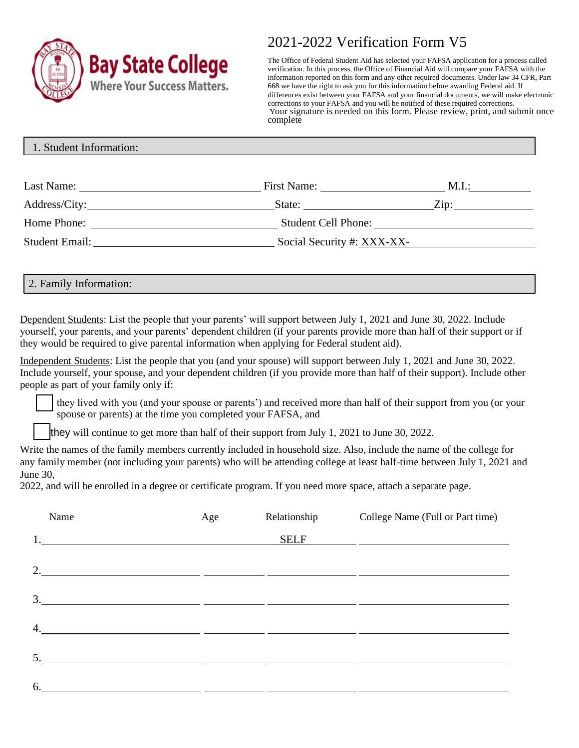

# 2021-2022 Verification Form V5

The Office of Federal Student Aid has selected your FAFSA application for a process called verification. In this process, the Office of Financial Aid will compare your FAFSA with the information reported on this form and any other required documents. Under law 34 CFR, Part 668 we have the right to ask you for this information before awarding Federal aid. If differences exist between your FAFSA and your financial documents, we will make electronic corrections to your FAFSA and you will be notified of these required corrections. Your signature is needed on this form. Please review, print, and submit once complete

|  | 1. Student Information: |  |  |  |  |
|--|-------------------------|--|--|--|--|
|--|-------------------------|--|--|--|--|

| Last Name:     | First Name:                | M.I.:   |
|----------------|----------------------------|---------|
| Address/City:  | State:                     | $Z$ in: |
| Home Phone:    | <b>Student Cell Phone:</b> |         |
| Student Email: | Social Security #: XXX-XX- |         |

2. Family Information:

Dependent Students: List the people that your parents' will support between July 1, 2021 and June 30, 2022. Include yourself, your parents, and your parents' dependent children (if your parents provide more than half of their support or if they would be required to give parental information when applying for Federal student aid).

Independent Students: List the people that you (and your spouse) will support between July 1, 2021 and June 30, 2022. Include yourself, your spouse, and your dependent children (if you provide more than half of their support). Include other people as part of your family only if:

they lived with you (and your spouse or parents') and received more than half of their support from you (or your spouse or parents) at the time you completed your FAFSA, and

they will continue to get more than half of their support from July 1, 2021 to June 30, 2022.

Write the names of the family members currently included in household size. Also, include the name of the college for any family member (not including your parents) who will be attending college at least half-time between July 1, 2021 and June 30,

2022, and will be enrolled in a degree or certificate program. If you need more space, attach a separate page.

|    | Name                                                                                                                  | Age | Relationship | College Name (Full or Part time) |
|----|-----------------------------------------------------------------------------------------------------------------------|-----|--------------|----------------------------------|
|    |                                                                                                                       |     | <b>SELF</b>  |                                  |
|    | 2. $\overline{\phantom{a}}$                                                                                           |     |              |                                  |
|    | $\frac{3.1}{2}$                                                                                                       |     |              |                                  |
| 4. | <u> 1989 - Andrea Andrew Amerikaanse kommunister († 1958)</u>                                                         |     |              |                                  |
|    |                                                                                                                       |     |              |                                  |
| 6. | <u> 1989 - Johann Barbara, martin amerikan basar dan basa dan basa dan basa dan basa dan basa dan basa dan basa d</u> |     |              |                                  |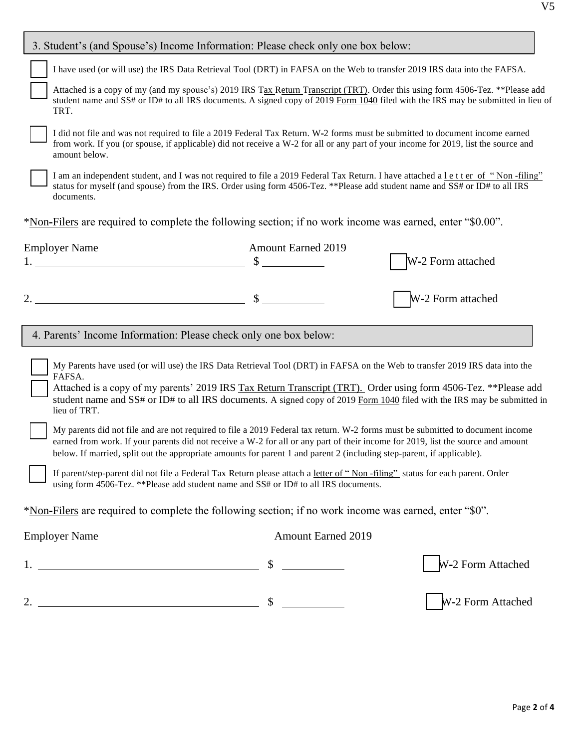|                                                                                                                                                                                                                                                                                                                                                                                                                                                                                                                                                                                                                                                                              | 3. Student's (and Spouse's) Income Information: Please check only one box below:                                                                                                                                                                                                                                                               |                           |                   |  |
|------------------------------------------------------------------------------------------------------------------------------------------------------------------------------------------------------------------------------------------------------------------------------------------------------------------------------------------------------------------------------------------------------------------------------------------------------------------------------------------------------------------------------------------------------------------------------------------------------------------------------------------------------------------------------|------------------------------------------------------------------------------------------------------------------------------------------------------------------------------------------------------------------------------------------------------------------------------------------------------------------------------------------------|---------------------------|-------------------|--|
|                                                                                                                                                                                                                                                                                                                                                                                                                                                                                                                                                                                                                                                                              | I have used (or will use) the IRS Data Retrieval Tool (DRT) in FAFSA on the Web to transfer 2019 IRS data into the FAFSA.                                                                                                                                                                                                                      |                           |                   |  |
|                                                                                                                                                                                                                                                                                                                                                                                                                                                                                                                                                                                                                                                                              | Attached is a copy of my (and my spouse's) 2019 IRS Tax Return Transcript (TRT). Order this using form 4506-Tez. **Please add<br>student name and SS# or ID# to all IRS documents. A signed copy of 2019 Form 1040 filed with the IRS may be submitted in lieu of<br>TRT.                                                                      |                           |                   |  |
|                                                                                                                                                                                                                                                                                                                                                                                                                                                                                                                                                                                                                                                                              | I did not file and was not required to file a 2019 Federal Tax Return. W-2 forms must be submitted to document income earned<br>from work. If you (or spouse, if applicable) did not receive a W-2 for all or any part of your income for 2019, list the source and<br>amount below.                                                           |                           |                   |  |
|                                                                                                                                                                                                                                                                                                                                                                                                                                                                                                                                                                                                                                                                              | I am an independent student, and I was not required to file a 2019 Federal Tax Return. I have attached a letter of "Non-filing"<br>status for myself (and spouse) from the IRS. Order using form 4506-Tez. **Please add student name and SS# or ID# to all IRS<br>documents.                                                                   |                           |                   |  |
|                                                                                                                                                                                                                                                                                                                                                                                                                                                                                                                                                                                                                                                                              | *Non-Filers are required to complete the following section; if no work income was earned, enter "\$0.00".                                                                                                                                                                                                                                      |                           |                   |  |
|                                                                                                                                                                                                                                                                                                                                                                                                                                                                                                                                                                                                                                                                              | <b>Employer Name</b>                                                                                                                                                                                                                                                                                                                           | <b>Amount Earned 2019</b> |                   |  |
|                                                                                                                                                                                                                                                                                                                                                                                                                                                                                                                                                                                                                                                                              | $\mathcal{S}$                                                                                                                                                                                                                                                                                                                                  |                           | W-2 Form attached |  |
|                                                                                                                                                                                                                                                                                                                                                                                                                                                                                                                                                                                                                                                                              |                                                                                                                                                                                                                                                                                                                                                |                           | W-2 Form attached |  |
|                                                                                                                                                                                                                                                                                                                                                                                                                                                                                                                                                                                                                                                                              | 4. Parents' Income Information: Please check only one box below:                                                                                                                                                                                                                                                                               |                           |                   |  |
| My Parents have used (or will use) the IRS Data Retrieval Tool (DRT) in FAFSA on the Web to transfer 2019 IRS data into the<br>FAFSA.<br>Attached is a copy of my parents' 2019 IRS Tax Return Transcript (TRT). Order using form 4506-Tez. **Please add<br>student name and $SS#$ or ID# to all IRS documents. A signed copy of 2019 Form 1040 filed with the IRS may be submitted in<br>lieu of TRT.<br>My parents did not file and are not required to file a 2019 Federal tax return. W-2 forms must be submitted to document income<br>earned from work. If your parents did not receive a W-2 for all or any part of their income for 2019, list the source and amount |                                                                                                                                                                                                                                                                                                                                                |                           |                   |  |
|                                                                                                                                                                                                                                                                                                                                                                                                                                                                                                                                                                                                                                                                              | below. If married, split out the appropriate amounts for parent 1 and parent 2 (including step-parent, if applicable).<br>If parent/step-parent did not file a Federal Tax Return please attach a letter of "Non-filing" status for each parent. Order<br>using form 4506-Tez. ** Please add student name and SS# or ID# to all IRS documents. |                           |                   |  |
|                                                                                                                                                                                                                                                                                                                                                                                                                                                                                                                                                                                                                                                                              | *Non-Filers are required to complete the following section; if no work income was earned, enter "\$0".                                                                                                                                                                                                                                         |                           |                   |  |
|                                                                                                                                                                                                                                                                                                                                                                                                                                                                                                                                                                                                                                                                              | <b>Employer Name</b>                                                                                                                                                                                                                                                                                                                           | <b>Amount Earned 2019</b> |                   |  |
|                                                                                                                                                                                                                                                                                                                                                                                                                                                                                                                                                                                                                                                                              |                                                                                                                                                                                                                                                                                                                                                | $\frac{1}{2}$             | W-2 Form Attached |  |
|                                                                                                                                                                                                                                                                                                                                                                                                                                                                                                                                                                                                                                                                              | 2. $\frac{1}{2}$ $\frac{1}{2}$ $\frac{1}{2}$ $\frac{1}{2}$ $\frac{1}{2}$ $\frac{1}{2}$ $\frac{1}{2}$ $\frac{1}{2}$ $\frac{1}{2}$ $\frac{1}{2}$ $\frac{1}{2}$ $\frac{1}{2}$ $\frac{1}{2}$ $\frac{1}{2}$ $\frac{1}{2}$ $\frac{1}{2}$ $\frac{1}{2}$ $\frac{1}{2}$ $\frac{1}{2}$ $\frac{1}{2}$ $\frac{1}{2}$ $\frac{1}{2}$                         | $\sim$                    | W-2 Form Attached |  |
|                                                                                                                                                                                                                                                                                                                                                                                                                                                                                                                                                                                                                                                                              |                                                                                                                                                                                                                                                                                                                                                |                           |                   |  |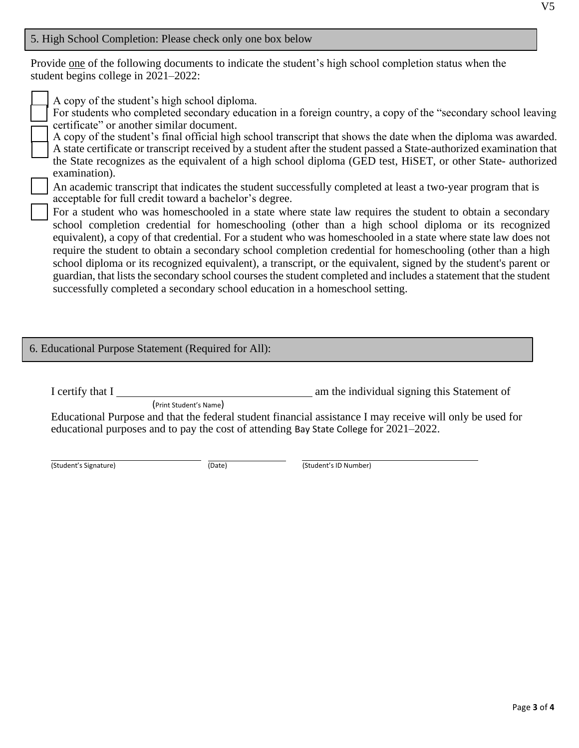#### 5. High School Completion: Please check only one box below

Provide one of the following documents to indicate the student's high school completion status when the student begins college in 2021–2022:

A copy of the student's high school diploma.

 For students who completed secondary education in a foreign country, a copy of the "secondary school leaving certificate" or another similar document.

 A copy of the student's final official high school transcript that shows the date when the diploma was awarded. A state certificate or transcript received by a student after the student passed a State-authorized examination that the State recognizes as the equivalent of a high school diploma (GED test, HiSET, or other State- authorized examination).

 An academic transcript that indicates the student successfully completed at least a two-year program that is acceptable for full credit toward a bachelor's degree.

 For a student who was homeschooled in a state where state law requires the student to obtain a secondary school completion credential for homeschooling (other than a high school diploma or its recognized equivalent), a copy of that credential. For a student who was homeschooled in a state where state law does not require the student to obtain a secondary school completion credential for homeschooling (other than a high school diploma or its recognized equivalent), a transcript, or the equivalent, signed by the student's parent or guardian, that lists the secondary school courses the student completed and includes a statement that the student successfully completed a secondary school education in a homeschool setting.

#### 6. Educational Purpose Statement (Required for All):

I certify that I am the individual signing this Statement of

(Print Student's Name)

Educational Purpose and that the federal student financial assistance I may receive will only be used for educational purposes and to pay the cost of attending Bay State College for 2021–2022.

(Student's Signature) (Date) (Student's ID Number)